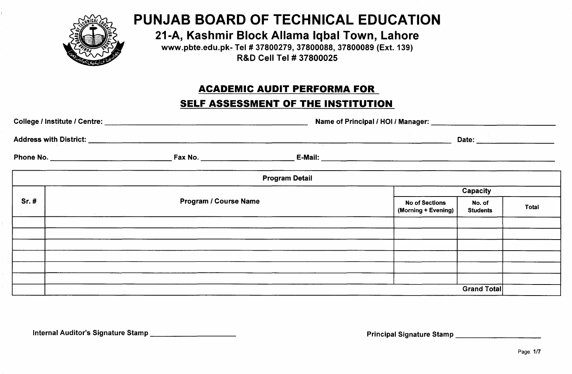

# **PUNJAB BOARD OF TECHNICAL EDUCATION**

**21-A, Kashmir Block Allama Iqbal Town, Lahore**

[www.pbte.edu.pk-](http://www.pbte.edu.pk-) Tel # 37800279,37800088,37800089 (Ext. 139) R&D Cell Tel # 37800025

# **ACADEMIC AUDIT PERFORMA FOR**

## **SELF ASSESSMENT OF THE INSTITUTION**

|      |                              | 77                                       |                                              |                           | Date: ______________________ |  |  |  |  |
|------|------------------------------|------------------------------------------|----------------------------------------------|---------------------------|------------------------------|--|--|--|--|
|      |                              |                                          |                                              |                           |                              |  |  |  |  |
|      |                              | <b>Contract</b><br><b>Program Detail</b> |                                              |                           |                              |  |  |  |  |
|      |                              |                                          |                                              | Capacity                  |                              |  |  |  |  |
| Sr.# | <b>Program / Course Name</b> |                                          | <b>No of Sections</b><br>(Morning + Evening) | No. of<br><b>Students</b> | <b>Total</b>                 |  |  |  |  |
|      |                              |                                          |                                              |                           |                              |  |  |  |  |
|      |                              |                                          |                                              |                           |                              |  |  |  |  |
|      |                              |                                          |                                              |                           |                              |  |  |  |  |
|      |                              |                                          |                                              |                           |                              |  |  |  |  |
|      |                              |                                          |                                              |                           |                              |  |  |  |  |
|      |                              |                                          |                                              |                           |                              |  |  |  |  |
|      |                              |                                          |                                              | <b>Grand Total</b>        |                              |  |  |  |  |

Internal Auditor's Signature Stamp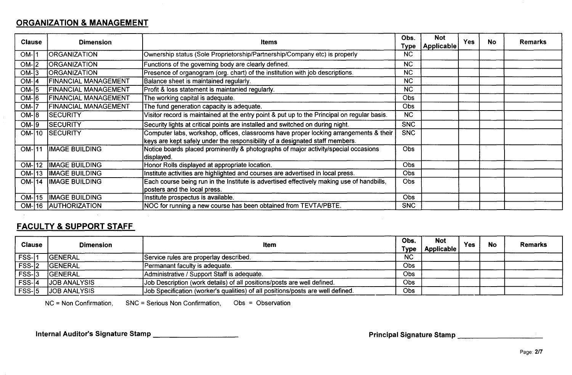#### **ORGANIZATION & MANAGEMENT**

| <b>Clause</b> | <b>Dimension</b>            | <b>Items</b>                                                                                                                                                          | Obs.<br>Type | <b>Not</b><br><b>Applicable</b> | <b>Yes</b> | No. | Remarks |
|---------------|-----------------------------|-----------------------------------------------------------------------------------------------------------------------------------------------------------------------|--------------|---------------------------------|------------|-----|---------|
| $OM-11$       | <b>ORGANIZATION</b>         | Ownership status (Sole Proprietorship/Partnership/Company etc) is properly                                                                                            | <b>NC</b>    |                                 |            |     |         |
| $OM-2$        | <b>ORGANIZATION</b>         | Functions of the governing body are clearly defined.                                                                                                                  | <b>NC</b>    |                                 |            |     |         |
| $OM-13$       | <b>ORGANIZATION</b>         | Presence of organogram (org. chart) of the institution with job descriptions.                                                                                         | <b>NC</b>    |                                 |            |     |         |
| $OM-$ 4       | <b>FINANCIAL MANAGEMENT</b> | Balance sheet is maintained regularly.                                                                                                                                | <b>NC</b>    |                                 |            |     |         |
| $OM-15$       | <b>FINANCIAL MANAGEMENT</b> | Profit & loss statement is maintanied regularly.                                                                                                                      | <b>NC</b>    |                                 |            |     |         |
| $OM-16$       | <b>FINANCIAL MANAGEMENT</b> | The working capital is adequate.                                                                                                                                      | Obs          |                                 |            |     |         |
| $OM-$         | <b>FINANCIAL MANAGEMENT</b> | The fund generation capacity is adequate.                                                                                                                             | <b>Obs</b>   |                                 |            |     |         |
| $OM-18$       | <b>SECURITY</b>             | Visitor record is maintained at the entry point & put up to the Principal on regular basis.                                                                           | <b>NC</b>    |                                 |            |     |         |
| $OM-19$       | <b>SECURITY</b>             | Security lights at critical points are installed and switched on during night.                                                                                        | <b>SNC</b>   |                                 |            |     |         |
|               | OM-10 SECURITY              | Computer labs, workshop, offices, classrooms have proper locking arrangements & their<br>keys are kept safely under the responsibility of a designated staff members. | <b>SNC</b>   |                                 |            |     |         |
| $OM-111$      | <b>IMAGE BUILDING</b>       | Notice boards placed prominently & photographs of major activity/special occasions<br>displayed.                                                                      | <b>Obs</b>   |                                 |            |     |         |
| $OM-12$       | <b>IMAGE BUILDING</b>       | Honor Rolls displayed at appropriate location.                                                                                                                        | <b>Obs</b>   |                                 |            |     |         |
| $OM-13$       | <b>IMAGE BUILDING</b>       | Institute activities are highlighted and courses are advertised in local press.                                                                                       | Obs          |                                 |            |     |         |
| $OM-I14$      | <b>IMAGE BUILDING</b>       | Each course being run in the Institute is advertised effectively making use of handbills,                                                                             | <b>Obs</b>   |                                 |            |     |         |
|               |                             | posters and the local press.                                                                                                                                          |              |                                 |            |     |         |
| $OM-15$       | <b>IMAGE BUILDING</b>       | Institute prospectus is available.                                                                                                                                    | <b>Obs</b>   |                                 |            |     |         |
|               | OM-116 AUTHORIZATION        | NOC for running a new course has been obtained from TEVTA/PBTE.                                                                                                       | <b>SNC</b>   |                                 |            |     |         |

### **FACULTY & SUPPORT STAFF**

 $\sim 100$  km s  $^{-1}$ 

| <b>Clause</b> | <b>Dimension</b>     | Item                                                                            | Obs.<br>Type | <b>Not</b><br>Applicable | Yes | <b>No</b> | <b>Remarks</b> |
|---------------|----------------------|---------------------------------------------------------------------------------|--------------|--------------------------|-----|-----------|----------------|
| $FSS-11$      | <b>IGENERAL</b>      | Service rules are properlay described.                                          | <b>NC</b>    |                          |     |           |                |
| FSS-2         | <b>IGENERAL</b>      | Permanant faculty is adequate.                                                  | Obs          |                          |     |           |                |
| $FSS-3$       | <b>GENERAL</b>       | Administrative / Support Staff is adequate.                                     | <b>Obs</b>   |                          |     |           |                |
| $FSS-4$       | <b>JJOB ANALYSIS</b> | Job Description (work details) of all positions/posts are well defined.         | Obs          |                          |     |           |                |
| $FSS-15$      | <b>JOB ANALYSIS</b>  | Job Specification (worker's qualities) of all positions/posts are well defined. | <b>Obs</b>   |                          |     |           |                |

NC = Non Confirmation, SNC = Serious Non Confirmation, Obs = Observation

Internal Auditor's Signature Stamp \_\_\_\_\_\_\_\_\_\_\_\_\_\_\_\_\_\_\_\_\_\_\_\_

Principal Signature Stamp \_\_\_\_\_\_\_\_\_\_\_\_\_\_\_\_\_\_\_\_\_\_\_\_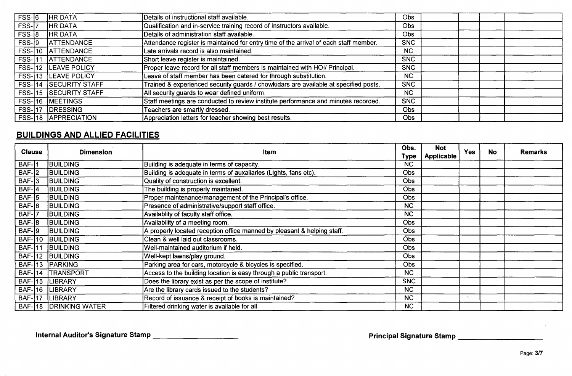| $FSS-16$      | <b>HR DATA</b>               | Details of instructional staff available.                                             | Obs        |  |  |
|---------------|------------------------------|---------------------------------------------------------------------------------------|------------|--|--|
| FSS-7         | <b>HR DATA</b>               | Qualification and in-service training record of Instructors available.                | Obs        |  |  |
| $FSS-8$       | <b>HR DATA</b>               | Details of administration staff available.                                            | <b>Obs</b> |  |  |
| $FSS-19$      | <b>ATTENDANCE</b>            | Attendance register is maintained for entry time of the arrival of each staff member. | SNC        |  |  |
|               | FSS-10 ATTENDANCE            | Late arrivals record is also maintained.                                              | <b>NC</b>  |  |  |
| $FSS-111$     | <b>ATTENDANCE</b>            | Short leave register is maintained.                                                   | <b>SNC</b> |  |  |
|               | <b>FSS-12 LEAVE POLICY</b>   | Proper leave record for all staff members is maintained with HOI/ Principal.          | <b>SNC</b> |  |  |
|               | FSS-13 LEAVE POLICY          | Leave of staff member has been catered for through substitution.                      | <b>NC</b>  |  |  |
|               | <b>FSS-14 SECURITY STAFF</b> | Trained & experienced security guards / chowkidars are available at specified posts.  | <b>SNC</b> |  |  |
|               | <b>FSS-15 SECURITY STAFF</b> | All security guards to wear defined uniform.                                          | <b>NC</b>  |  |  |
|               | FSS-16 MEETINGS              | Staff meetings are conducted to review institute performance and minutes recorded.    | <b>SNC</b> |  |  |
| <b>FSS-17</b> | <b>IDRESSING</b>             | Teachers are smartly dressed.                                                         | Obs        |  |  |
|               | <b>FSS-18 APPRECIATION</b>   | Appreciation letters for teacher showing best results.                                | <b>Obs</b> |  |  |

# **BUILDINGS AND ALLIED FACILITIES**

 $\overline{\phantom{0}}$ 

| <b>Clause</b> | <b>Dimension</b>      | Item                                                                    | Obs.<br>Type | <b>Not</b><br><b>Applicable</b> | <b>Yes</b> | <b>No</b> | Remarks |
|---------------|-----------------------|-------------------------------------------------------------------------|--------------|---------------------------------|------------|-----------|---------|
| $BAF-1$       | <b>BUILDING</b>       | Building is adequate in terms of capacity.                              | <b>NC</b>    |                                 |            |           |         |
| $BAF-2$       | <b>BUILDING</b>       | Building is adequate in terms of auxaliaries (Lights, fans etc).        | Obs          |                                 |            |           |         |
| $BAF-3$       | <b>BUILDING</b>       | Quality of construction is excellent.                                   | Obs          |                                 |            |           |         |
| $BAF-4$       | <b>BUILDING</b>       | The building is properly maintaned.                                     | Obs          |                                 |            |           |         |
| $BAF-5$       | <b>BUILDING</b>       | Proper maintenance/management of the Principal's office.                | Obs          |                                 |            |           |         |
| $BAF-6$       | <b>BUILDING</b>       | Presence of administrative/support staff office.                        | <b>NC</b>    |                                 |            |           |         |
| $BAF-7$       | <b>BUILDING</b>       | Availablity of faculty staff office.                                    | <b>NC</b>    |                                 |            |           |         |
| $BAF-8$       | <b>BUILDING</b>       | Availability of a meeting room.                                         | Obs          |                                 |            |           |         |
| $BAF-9$       | <b>BUILDING</b>       | A properly located reception office manned by pleasant & helping staff. | <b>Obs</b>   |                                 |            |           |         |
| <b>BAF-10</b> | <b>BUILDING</b>       | Clean & well laid out classrooms.                                       | Obs          |                                 |            |           |         |
| $BAF-11$      | <b>BUILDING</b>       | Well-maintained auditorium if held.                                     | Obs          |                                 |            |           |         |
| <b>BAF-12</b> | BUILDING              | Well-kept lawns/play ground.                                            | Obs          |                                 |            |           |         |
| <b>BAF-13</b> | <b>TPARKING</b>       | Parking area for cars, motorcycle & bicycles is specified.              | <b>Obs</b>   |                                 |            |           |         |
| $BAF-14$      | <b>TRANSPORT</b>      | Access to the building location is easy through a public transport.     | <b>NC</b>    |                                 |            |           |         |
| $BAF-15$      | LIBRARY               | Does the library exist as per the scope of institute?                   | <b>SNC</b>   |                                 |            |           |         |
| <b>BAF-16</b> | <b>LIBRARY</b>        | Are the library cards issued to the students?                           | <b>NC</b>    |                                 |            |           |         |
| <b>BAF-17</b> | <b>LIBRARY</b>        | Record of issuance & receipt of books is maintained?                    | <b>NC</b>    |                                 |            |           |         |
| $BAF-18$      | <b>DRINKING WATER</b> | Filtered drinking water is available for all.                           | <b>NC</b>    |                                 |            |           |         |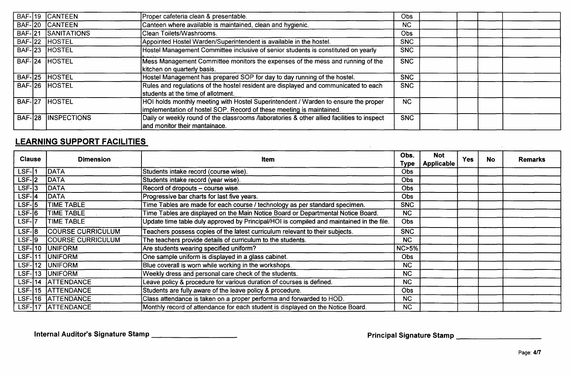|               | BAF-19 CANTEEN     | Proper cafeteria clean & presentable.                                                                                                                      | Obs        |  |
|---------------|--------------------|------------------------------------------------------------------------------------------------------------------------------------------------------------|------------|--|
|               | BAF-20 CANTEEN     | Canteen where available is maintained, clean and hygienic.                                                                                                 | <b>NC</b>  |  |
|               | BAF-21 SANITATIONS | Clean Toilets/Washrooms.                                                                                                                                   | Obs        |  |
| $BAF-22$      | <b>HOSTEL</b>      | Appointed Hostel Warden/Superintendent is available in the hostel.                                                                                         | <b>SNC</b> |  |
|               | BAF-23 HOSTEL      | Hostel Management Committee inclusive of senior students is constituted on yearly                                                                          | <b>SNC</b> |  |
|               | BAF-24 HOSTEL      | Mess Management Committee monitors the expenses of the mess and running of the<br>kitchen on quarterly basis.                                              | <b>SNC</b> |  |
|               | BAF-25 HOSTEL      | Hostel Management has prepared SOP for day to day running of the hostel.                                                                                   | <b>SNC</b> |  |
|               | BAF-26 HOSTEL      | Rules and regulations of the hostel resident are displayed and communicated to each<br>students at the time of allotment.                                  | <b>SNC</b> |  |
| <b>BAF-27</b> | <b>HOSTEL</b>      | HOI holds monthly meeting with Hostel Superintendent / Warden to ensure the proper<br>implementation of hostel SOP. Record of these meeting is maintained. | <b>NC</b>  |  |
| <b>BAF-28</b> | <b>INSPECTIONS</b> | Daily or weekly round of the classrooms /laboratories & other allied facilities to inspect<br>and monitor their mantainace.                                | <b>SNC</b> |  |

## **LEARNING SUPPORT FACILITIES**

| LEARNING SUPPORT FACILITIES |  |                          |                                                                                          |                     |                                 |            |           |                |  |  |  |
|-----------------------------|--|--------------------------|------------------------------------------------------------------------------------------|---------------------|---------------------------------|------------|-----------|----------------|--|--|--|
| <b>Clause</b>               |  | <b>Dimension</b>         | Item                                                                                     | Obs.<br><b>Type</b> | <b>Not</b><br><b>Applicable</b> | <b>Yes</b> | <b>No</b> | <b>Remarks</b> |  |  |  |
| LSF-11                      |  | <b>DATA</b>              | Students intake record (course wise).                                                    | <b>Obs</b>          |                                 |            |           |                |  |  |  |
| $LSF-2$                     |  | <b>DATA</b>              | Students intake record (year wise).                                                      | <b>Obs</b>          |                                 |            |           |                |  |  |  |
| $LSF-3$                     |  | DATA                     | Record of dropouts - course wise.                                                        | <b>Obs</b>          |                                 |            |           |                |  |  |  |
| $LSF-I4$                    |  | <b>DATA</b>              | Progressive bar charts for last five years.                                              | <b>Obs</b>          |                                 |            |           |                |  |  |  |
| $LSF-15$                    |  | <b>TIME TABLE</b>        | Time Tables are made for each course / technology as per standard specimen.              | <b>SNC</b>          |                                 |            |           |                |  |  |  |
| $LSF-6$                     |  | <b>TIME TABLE</b>        | Time Tables are displayed on the Main Notice Board or Departmental Notice Board.         | NC.                 |                                 |            |           |                |  |  |  |
| LSF- 7                      |  | TIME TABLE               | Update time table duly approved by Principal/HOI is compiled and maintained in the file. | <b>Obs</b>          |                                 |            |           |                |  |  |  |
| $LSF-8$                     |  | <b>COURSE CURRICULUM</b> | Teachers possess copies of the latest curriculum relevant to their subjects.             | <b>SNC</b>          |                                 |            |           |                |  |  |  |
| $LSF-9$                     |  | <b>COURSE CURRICULUM</b> | The teachers provide details of curriculum to the students.                              | <b>NC</b>           |                                 |            |           |                |  |  |  |
| <b>LSF-10</b>               |  | <b>UNIFORM</b>           | Are students wearing specified uniform?                                                  | $NC > 5\%$          |                                 |            |           |                |  |  |  |
| <b>LSF-111</b>              |  | <b>UNIFORM</b>           | One sample uniform is displayed in a glass cabinet.                                      | <b>Obs</b>          |                                 |            |           |                |  |  |  |
| $LSF-12$                    |  | <b>JUNIFORM</b>          | Blue coverall is worn while working in the workshops.                                    | <b>NC</b>           |                                 |            |           |                |  |  |  |
| $LSF-13$                    |  | <b>UNIFORM</b>           | Weekly dress and personal care check of the students.                                    | <b>NC</b>           |                                 |            |           |                |  |  |  |
| LSF- 14                     |  | ATTENDANCE               | Leave policy & procedure for various duration of courses is defined.                     | <b>NC</b>           |                                 |            |           |                |  |  |  |
|                             |  | LSF-115 ATTENDANCE       | Students are fully aware of the leave policy & procedure.                                | Obs                 |                                 |            |           |                |  |  |  |
|                             |  | LSF-16 ATTENDANCE        | Class attendance is taken on a proper performa and forwarded to HOD.                     | <b>NC</b>           |                                 |            |           |                |  |  |  |
| <b>LSF-17</b>               |  | <b>ATTENDANCE</b>        | Monthly record of attendance for each student is displayed on the Notice Board.          | <b>NC</b>           |                                 |            |           |                |  |  |  |

Internal Auditor's Signature Stamp \_\_\_\_\_\_\_\_\_\_\_\_\_\_\_\_\_\_\_\_\_\_\_\_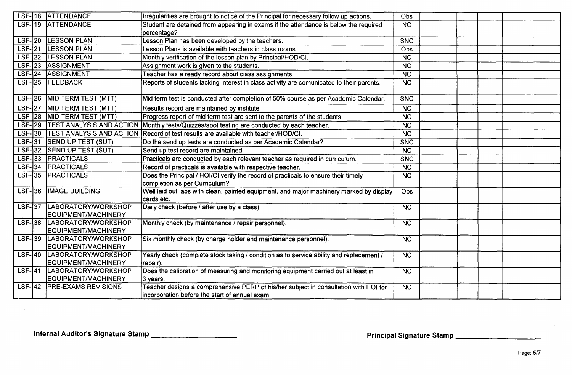|           | LSF-18 ATTENDANCE                                 | Irregularities are brought to notice of the Principal for necessary follow up actions.                | Obs                    |  |  |
|-----------|---------------------------------------------------|-------------------------------------------------------------------------------------------------------|------------------------|--|--|
|           | LSF-19 ATTENDANCE                                 | Student are detained from appearing in exams if the attendance is below the required                  | $\overline{\text{NC}}$ |  |  |
|           |                                                   | percentage?                                                                                           |                        |  |  |
|           | LSF-20 LESSON PLAN                                | Lesson Plan has been developed by the teachers.                                                       | SNC                    |  |  |
|           | LSF-21 LESSON PLAN                                | Lesson Plans is available with teachers in class rooms.                                               | Obs                    |  |  |
|           | LSF-22 LESSON PLAN                                | Monthly verification of the lesson plan by Principal/HOD/CI.                                          | $\overline{\text{NC}}$ |  |  |
| $LSF-23$  | <b>ASSIGNMENT</b>                                 | Assignment work is given to the students.                                                             | $\overline{\text{NC}}$ |  |  |
|           | LSF-24 ASSIGNMENT                                 | Feacher has a ready record about class assignments.                                                   | $\overline{\text{NC}}$ |  |  |
|           | LSF-25 FEEDBACK                                   | Reports of students lacking interest in class activity are comunicated to their parents.              | NC                     |  |  |
| $LSF-26$  | MID TERM TEST (MTT)                               | Mid term test is conducted after completion of 50% course as per Academic Calendar.                   | SNC                    |  |  |
| $LSF-27$  | <b>MID TERM TEST (MTT)</b>                        | Results record are maintained by institute.                                                           | <b>NC</b>              |  |  |
|           | LSF-28 MID TERM TEST (MTT)                        | Progress report of mid term test are sent to the parents of the students.                             | $\overline{\text{NC}}$ |  |  |
|           |                                                   | LSF-29 TEST ANALYSIS AND ACTION Monthly tests/Quizzes/spot testing are conducted by each teacher.     | $\overline{\text{NC}}$ |  |  |
|           |                                                   | LSF-30  TEST ANALYSIS AND ACTION  Record of test results are available with teacher/HOD/CI.           | $\overline{\text{NC}}$ |  |  |
|           | LSF-31 SEND UP TEST (SUT)                         | Do the send up tests are conducted as per Academic Calendar?                                          | <b>SNC</b>             |  |  |
|           | LSF-32 SEND UP TEST (SUT)                         | Send up test record are maintained.                                                                   | <b>NC</b>              |  |  |
|           | LSF-33 PRACTICALS                                 | Practicals are conducted by each relevant teacher as required in curriculum.                          | <b>SNC</b>             |  |  |
|           | LSF-34 PRACTICALS                                 | Record of practicals is available with respective teacher.                                            | <b>NC</b>              |  |  |
|           | LSF-35 PRACTICALS                                 | Does the Principal / HOI/CI verify the record of practicals to ensure their timely                    | $\overline{\text{NC}}$ |  |  |
|           |                                                   | completion as per Curriculum?                                                                         |                        |  |  |
|           | LSF-36  IMAGE BUILDING                            | Well laid out labs with clean, painted equipment, and major machinery marked by display<br>cards etc. | Obs                    |  |  |
|           | LSF-37 LABORATORY/WORKSHOP<br>EQUIPMENT/MACHINERY | Daily check (before / after use by a class).                                                          | $\overline{\text{NC}}$ |  |  |
|           | LSF-38 LABORATORY/WORKSHOP                        | Monthly check (by maintenance / repair personnel).                                                    | NC                     |  |  |
|           | EQUIPMENT/MACHINERY                               |                                                                                                       |                        |  |  |
| $LSF-139$ | LABORATORY/WORKSHOP                               | Six monthly check (by charge holder and maintenance personnel).                                       | $\overline{NC}$        |  |  |
|           | EQUIPMENT/MACHINERY                               |                                                                                                       |                        |  |  |
| $LSF-140$ | LABORATORY/WORKSHOP                               | Yearly check (complete stock taking / condition as to service ability and replacement /               | <b>NC</b>              |  |  |
|           | EQUIPMENT/MACHINERY                               | repair).                                                                                              |                        |  |  |
| $LSF-I41$ | LABORATORY/WORKSHOP                               | Does the calibration of measuring and monitoring equipment carried out at least in                    | <b>NC</b>              |  |  |
|           | EQUIPMENT/MACHINERY                               | 3 years.                                                                                              |                        |  |  |
|           | LSF-142   PRE-EXAMS REVISIONS                     | Teacher designs a comprehensive PERP of his/her subject in consultation with HOI for                  | NC                     |  |  |
|           |                                                   | incorporation before the start of annual exam.                                                        |                        |  |  |

Internal Auditor's Signature Stamp \_\_\_\_\_\_\_\_\_\_\_\_\_\_\_\_\_\_\_\_\_\_\_

 $\sim$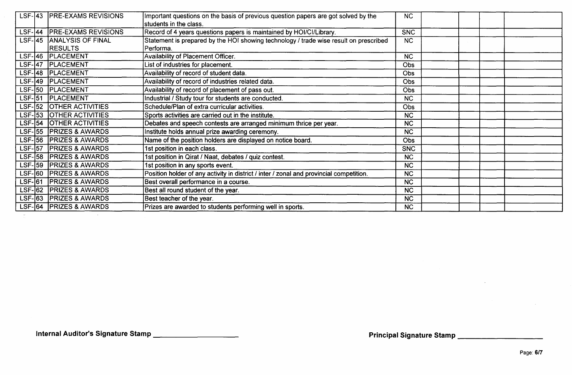| $LSF-143$      | <b>PRE-EXAMS REVISIONS</b>  | Important questions on the basis of previous question papers are got solved by the      | <b>NC</b>              |  |  |  |
|----------------|-----------------------------|-----------------------------------------------------------------------------------------|------------------------|--|--|--|
|                |                             | students in the class.                                                                  |                        |  |  |  |
| $LSF-144$      | <b>PRE-EXAMS REVISIONS</b>  | Record of 4 years questions papers is maintained by HOI/CI/Library.                     | <b>SNC</b>             |  |  |  |
| $LSF-145$      | <b>ANALYSIS OF FINAL</b>    | Statement is prepared by the HOI showing technology / trade wise result on prescribed   | <b>NC</b>              |  |  |  |
|                | <b>RESULTS</b>              | Performa.                                                                               |                        |  |  |  |
| $LSF-146$      | <b>PLACEMENT</b>            | Availability of Placement Officer.                                                      | <b>NC</b>              |  |  |  |
| $LSF-147$      | <b>PLACEMENT</b>            | List of industries for placement.                                                       | <b>Obs</b>             |  |  |  |
| $LSF-48$       | <b>PLACEMENT</b>            | Availability of record of student data.                                                 | <b>Obs</b>             |  |  |  |
|                | LSF-49 PLACEMENT            | Availability of record of industries related data.                                      | Obs                    |  |  |  |
| $LSF-150$      | <b>PLACEMENT</b>            | Availability of record of placement of pass out.                                        | Obs                    |  |  |  |
|                | LSF-51 PLACEMENT            | Industrial / Study tour for students are conducted.                                     | <b>NC</b>              |  |  |  |
| $LSF-152$      | <b>OTHER ACTIVITIES</b>     | Schedule/Plan of extra curricular activities.                                           | Obs                    |  |  |  |
|                | LSF-153 OTHER ACTIVITIES    | Sports activities are carried out in the institute.                                     | <b>NC</b>              |  |  |  |
| $LSF-154$      | <b>OTHER ACTIVITIES</b>     | Debates and speech contests are arranged minimum thrice per year.                       | <b>NC</b>              |  |  |  |
| $LSF-155$      | <b>PRIZES &amp; AWARDS</b>  | Institute holds annual prize awarding ceremony.                                         | <b>NC</b>              |  |  |  |
| $LSF-156$      | <b>PRIZES &amp; AWARDS</b>  | Name of the position holders are displayed on notice board.                             | Obs                    |  |  |  |
| $LSF$ -57      | <b>PRIZES &amp; AWARDS</b>  | 1st position in each class.                                                             | <b>SNC</b>             |  |  |  |
| $LSF-158$      | <b>PRIZES &amp; AWARDS</b>  | 1st position in Qirat / Naat, debates / quiz contest.                                   | <b>NC</b>              |  |  |  |
| $LSF-159$      | <b>PRIZES &amp; AWARDS</b>  | 1st position in any sports event.                                                       | <b>NC</b>              |  |  |  |
| $LSF-60$       | <b>IPRIZES &amp; AWARDS</b> | Position holder of any activity in district / inter / zonal and provincial competition. | <b>NC</b>              |  |  |  |
| $LSF-61$       | <b>PRIZES &amp; AWARDS</b>  | Best overall performance in a course.                                                   | $\overline{\text{NC}}$ |  |  |  |
| <b>LSF-162</b> | <b>PRIZES &amp; AWARDS</b>  | Best all round student of the year.                                                     | <b>NC</b>              |  |  |  |
| $LSF-63$       | <b>PRIZES &amp; AWARDS</b>  | Best teacher of the year.                                                               | <b>NC</b>              |  |  |  |
| $LSF-64$       | <b>PRIZES &amp; AWARDS</b>  | Prizes are awarded to students performing well in sports.                               | <b>NC</b>              |  |  |  |
|                |                             |                                                                                         |                        |  |  |  |

Internal Auditor's Signature Stamp \_\_\_\_\_\_\_\_\_\_\_\_\_\_\_\_\_\_\_\_\_\_\_\_

 $\mathcal{A}^{\pm}$